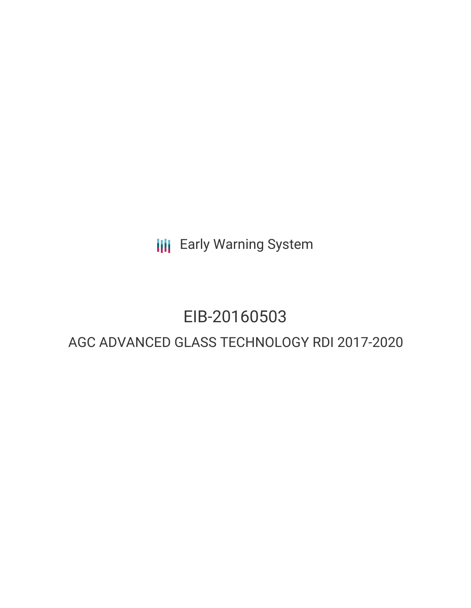**III** Early Warning System

# EIB-20160503

# AGC ADVANCED GLASS TECHNOLOGY RDI 2017-2020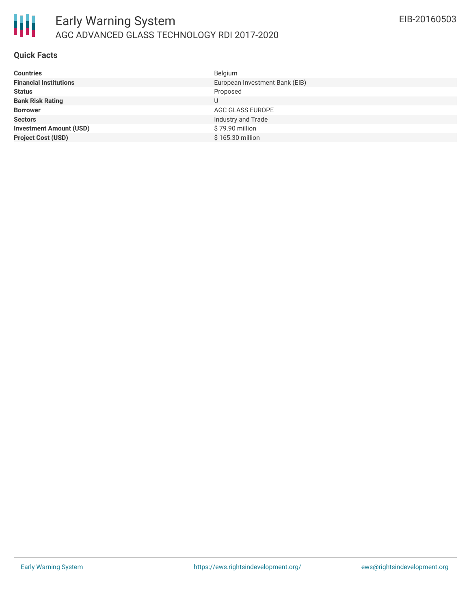

#### **Quick Facts**

朋

| <b>Countries</b>               | Belgium                        |
|--------------------------------|--------------------------------|
| <b>Financial Institutions</b>  | European Investment Bank (EIB) |
| <b>Status</b>                  | Proposed                       |
| <b>Bank Risk Rating</b>        | U                              |
| <b>Borrower</b>                | AGC GLASS EUROPE               |
| <b>Sectors</b>                 | Industry and Trade             |
| <b>Investment Amount (USD)</b> | \$79.90 million                |
| <b>Project Cost (USD)</b>      | \$165.30 million               |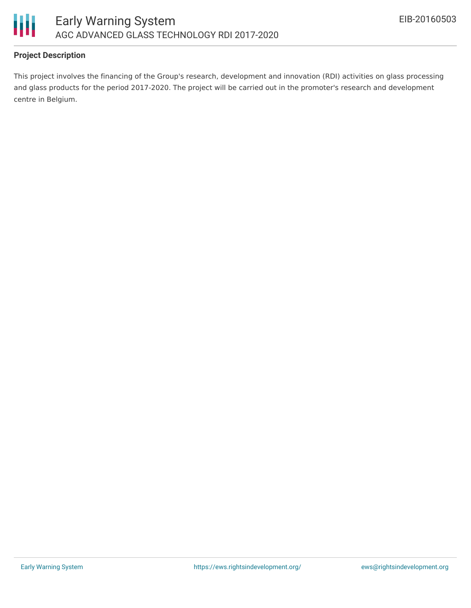

# **Project Description**

This project involves the financing of the Group's research, development and innovation (RDI) activities on glass processing and glass products for the period 2017-2020. The project will be carried out in the promoter's research and development centre in Belgium.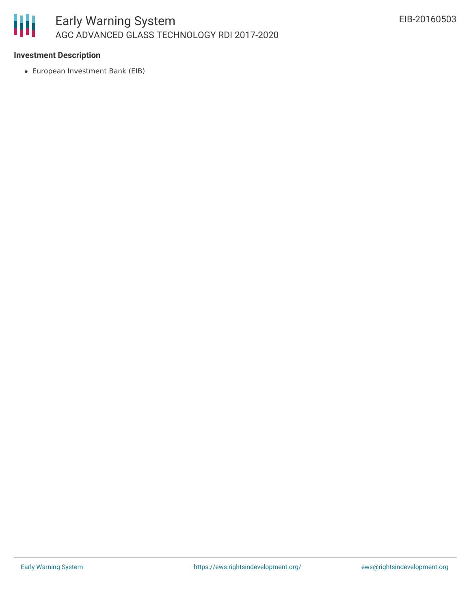

## **Investment Description**

European Investment Bank (EIB)